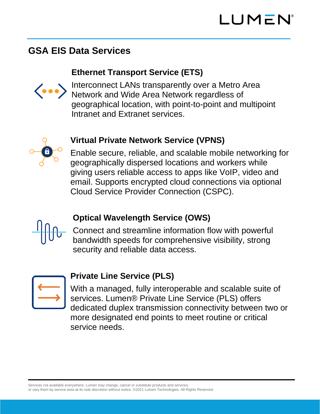# **GSA EIS Data Services**

#### **Ethernet Transport Service (ETS)**



Interconnect LANs transparently over a Metro Area Network and Wide Area Network regardless of geographical location, with point-to-point and multipoint Intranet and Extranet services.

# **Virtual Private Network Service (VPNS)**

Enable secure, reliable, and scalable mobile networking for geographically dispersed locations and workers while giving users reliable access to apps like VoIP, video and email. Supports encrypted cloud connections via optional Cloud Service Provider Connection (CSPC).

### **Optical Wavelength Service (OWS)**

Connect and streamline information flow with powerful bandwidth speeds for comprehensive visibility, strong security and reliable data access.



### **Private Line Service (PLS)**

With a managed, fully interoperable and scalable suite of services. Lumen® Private Line Service (PLS) offers dedicated duplex transmission connectivity between two or more designated end points to meet routine or critical service needs.